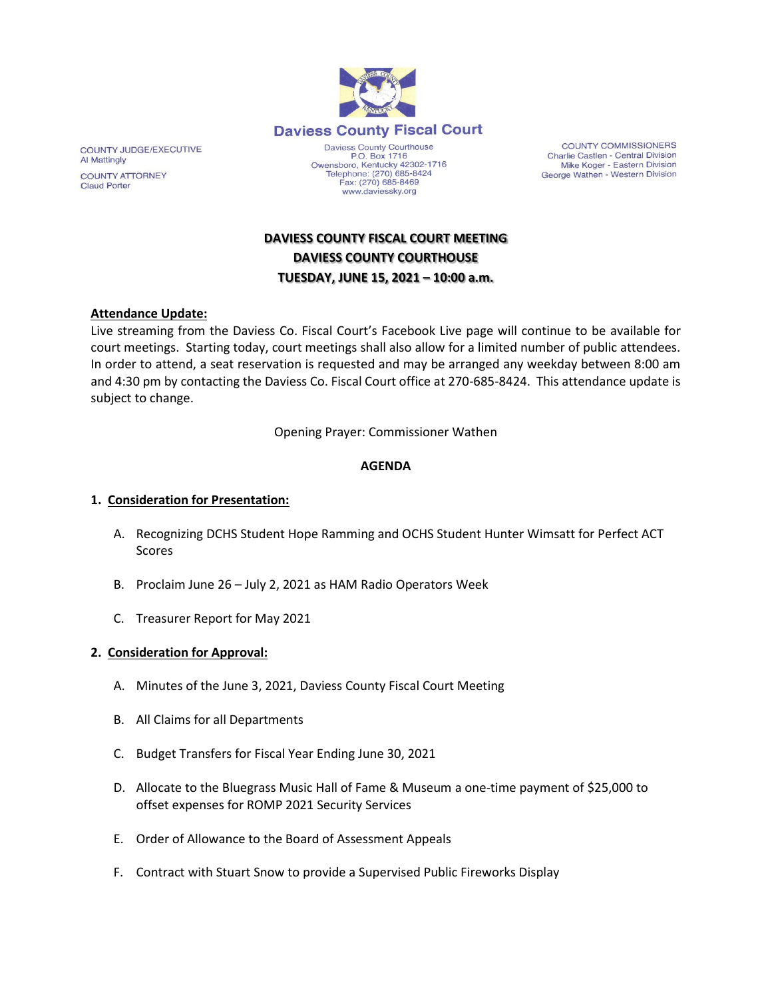

www.daviessky.org

COUNTY COMMISSIONERS Charlie Castlen - Central Division<br>Mike Koger - Eastern Division George Wathen - Western Division

# **DAVIESS COUNTY FISCAL COURT MEETING DAVIESS COUNTY COURTHOUSE TUESDAY, JUNE 15, 2021 – 10:00 a.m.**

### **Attendance Update:**

Live streaming from the Daviess Co. Fiscal Court's Facebook Live page will continue to be available for court meetings. Starting today, court meetings shall also allow for a limited number of public attendees. In order to attend, a seat reservation is requested and may be arranged any weekday between 8:00 am and 4:30 pm by contacting the Daviess Co. Fiscal Court office at 270-685-8424. This attendance update is subject to change.

Opening Prayer: Commissioner Wathen

### **AGENDA**

### **1. Consideration for Presentation:**

- A. Recognizing DCHS Student Hope Ramming and OCHS Student Hunter Wimsatt for Perfect ACT Scores
- B. Proclaim June 26 July 2, 2021 as HAM Radio Operators Week
- C. Treasurer Report for May 2021

### **2. Consideration for Approval:**

- A. Minutes of the June 3, 2021, Daviess County Fiscal Court Meeting
- B. All Claims for all Departments
- C. Budget Transfers for Fiscal Year Ending June 30, 2021
- D. Allocate to the Bluegrass Music Hall of Fame & Museum a one-time payment of \$25,000 to offset expenses for ROMP 2021 Security Services
- E. Order of Allowance to the Board of Assessment Appeals
- F. Contract with Stuart Snow to provide a Supervised Public Fireworks Display

COUNTY JUDGE/EXECUTIVE **Al Mattingly COUNTY ATTORNEY Claud Porter**